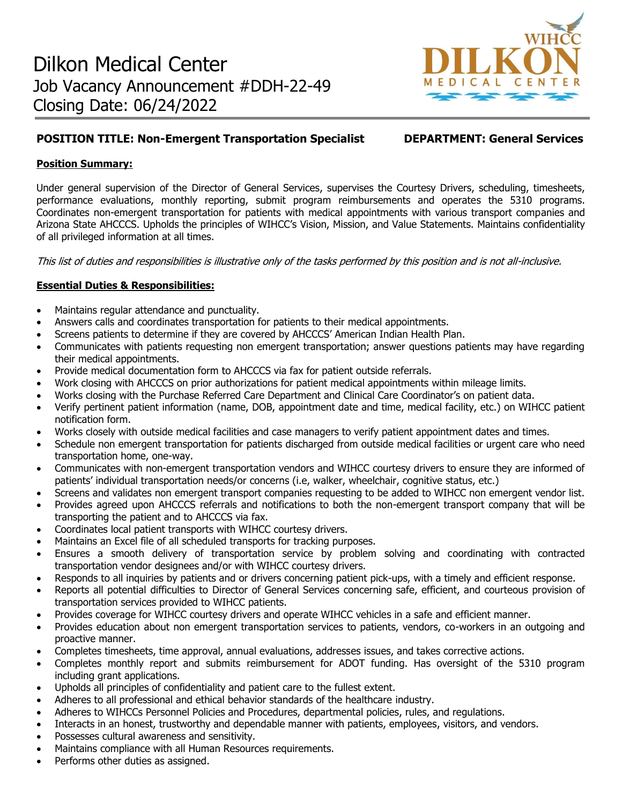

# **POSITION TITLE: Non-Emergent Transportation Specialist DEPARTMENT: General Services**

# **Position Summary:**

Under general supervision of the Director of General Services, supervises the Courtesy Drivers, scheduling, timesheets, performance evaluations, monthly reporting, submit program reimbursements and operates the 5310 programs. Coordinates non-emergent transportation for patients with medical appointments with various transport companies and Arizona State AHCCCS. Upholds the principles of WIHCC's Vision, Mission, and Value Statements. Maintains confidentiality of all privileged information at all times.

This list of duties and responsibilities is illustrative only of the tasks performed by this position and is not all-inclusive.

# **Essential Duties & Responsibilities:**

- Maintains regular attendance and punctuality.
- Answers calls and coordinates transportation for patients to their medical appointments.
- Screens patients to determine if they are covered by AHCCCS' American Indian Health Plan.
- Communicates with patients requesting non emergent transportation; answer questions patients may have regarding their medical appointments.
- Provide medical documentation form to AHCCCS via fax for patient outside referrals.
- Work closing with AHCCCS on prior authorizations for patient medical appointments within mileage limits.
- Works closing with the Purchase Referred Care Department and Clinical Care Coordinator's on patient data.
- Verify pertinent patient information (name, DOB, appointment date and time, medical facility, etc.) on WIHCC patient notification form.
- Works closely with outside medical facilities and case managers to verify patient appointment dates and times.
- Schedule non emergent transportation for patients discharged from outside medical facilities or urgent care who need transportation home, one-way.
- Communicates with non-emergent transportation vendors and WIHCC courtesy drivers to ensure they are informed of patients' individual transportation needs/or concerns (i.e, walker, wheelchair, cognitive status, etc.)
- Screens and validates non emergent transport companies requesting to be added to WIHCC non emergent vendor list.
- Provides agreed upon AHCCCS referrals and notifications to both the non-emergent transport company that will be transporting the patient and to AHCCCS via fax.
- Coordinates local patient transports with WIHCC courtesy drivers.
- Maintains an Excel file of all scheduled transports for tracking purposes.
- Ensures a smooth delivery of transportation service by problem solving and coordinating with contracted transportation vendor designees and/or with WIHCC courtesy drivers.
- Responds to all inquiries by patients and or drivers concerning patient pick-ups, with a timely and efficient response.
- Reports all potential difficulties to Director of General Services concerning safe, efficient, and courteous provision of transportation services provided to WIHCC patients.
- Provides coverage for WIHCC courtesy drivers and operate WIHCC vehicles in a safe and efficient manner.
- Provides education about non emergent transportation services to patients, vendors, co-workers in an outgoing and proactive manner.
- Completes timesheets, time approval, annual evaluations, addresses issues, and takes corrective actions.
- Completes monthly report and submits reimbursement for ADOT funding. Has oversight of the 5310 program including grant applications.
- Upholds all principles of confidentiality and patient care to the fullest extent.
- Adheres to all professional and ethical behavior standards of the healthcare industry.
- Adheres to WIHCCs Personnel Policies and Procedures, departmental policies, rules, and regulations.
- Interacts in an honest, trustworthy and dependable manner with patients, employees, visitors, and vendors.
- Possesses cultural awareness and sensitivity.
- Maintains compliance with all Human Resources requirements.
- Performs other duties as assigned.